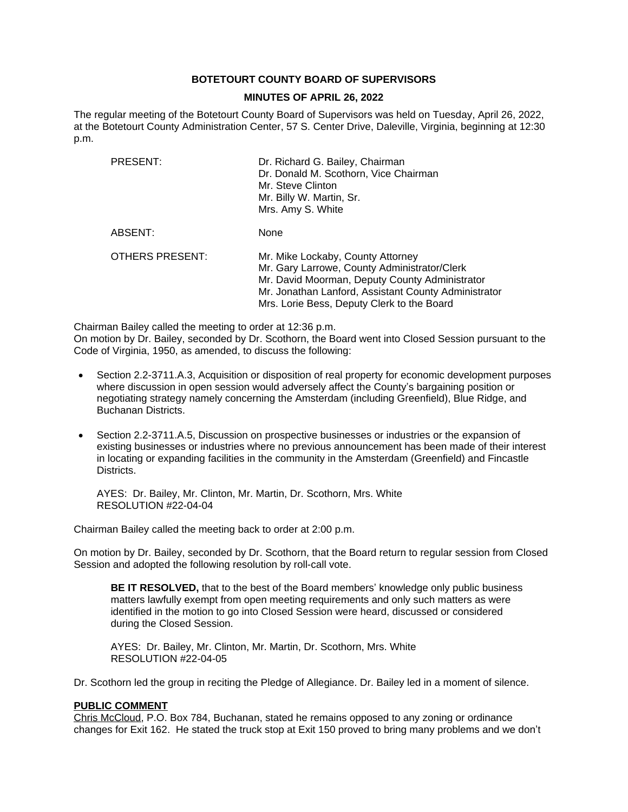## **BOTETOURT COUNTY BOARD OF SUPERVISORS**

#### **MINUTES OF APRIL 26, 2022**

The regular meeting of the Botetourt County Board of Supervisors was held on Tuesday, April 26, 2022, at the Botetourt County Administration Center, 57 S. Center Drive, Daleville, Virginia, beginning at 12:30 p.m.

| PRESENT:               | Dr. Richard G. Bailey, Chairman<br>Dr. Donald M. Scothorn, Vice Chairman<br>Mr. Steve Clinton<br>Mr. Billy W. Martin, Sr.<br>Mrs. Amy S. White                                                                                            |
|------------------------|-------------------------------------------------------------------------------------------------------------------------------------------------------------------------------------------------------------------------------------------|
| ABSENT:                | None                                                                                                                                                                                                                                      |
| <b>OTHERS PRESENT:</b> | Mr. Mike Lockaby, County Attorney<br>Mr. Gary Larrowe, County Administrator/Clerk<br>Mr. David Moorman, Deputy County Administrator<br>Mr. Jonathan Lanford, Assistant County Administrator<br>Mrs. Lorie Bess, Deputy Clerk to the Board |

Chairman Bailey called the meeting to order at 12:36 p.m.

On motion by Dr. Bailey, seconded by Dr. Scothorn, the Board went into Closed Session pursuant to the Code of Virginia, 1950, as amended, to discuss the following:

- Section 2.2-3711.A.3, Acquisition or disposition of real property for economic development purposes where discussion in open session would adversely affect the County's bargaining position or negotiating strategy namely concerning the Amsterdam (including Greenfield), Blue Ridge, and Buchanan Districts.
- Section 2.2-3711.A.5, Discussion on prospective businesses or industries or the expansion of existing businesses or industries where no previous announcement has been made of their interest in locating or expanding facilities in the community in the Amsterdam (Greenfield) and Fincastle Districts.

AYES: Dr. Bailey, Mr. Clinton, Mr. Martin, Dr. Scothorn, Mrs. White RESOLUTION #22-04-04

Chairman Bailey called the meeting back to order at 2:00 p.m.

On motion by Dr. Bailey, seconded by Dr. Scothorn, that the Board return to regular session from Closed Session and adopted the following resolution by roll-call vote.

**BE IT RESOLVED,** that to the best of the Board members' knowledge only public business matters lawfully exempt from open meeting requirements and only such matters as were identified in the motion to go into Closed Session were heard, discussed or considered during the Closed Session.

AYES: Dr. Bailey, Mr. Clinton, Mr. Martin, Dr. Scothorn, Mrs. White RESOLUTION #22-04-05

Dr. Scothorn led the group in reciting the Pledge of Allegiance. Dr. Bailey led in a moment of silence.

#### **PUBLIC COMMENT**

Chris McCloud, P.O. Box 784, Buchanan, stated he remains opposed to any zoning or ordinance changes for Exit 162. He stated the truck stop at Exit 150 proved to bring many problems and we don't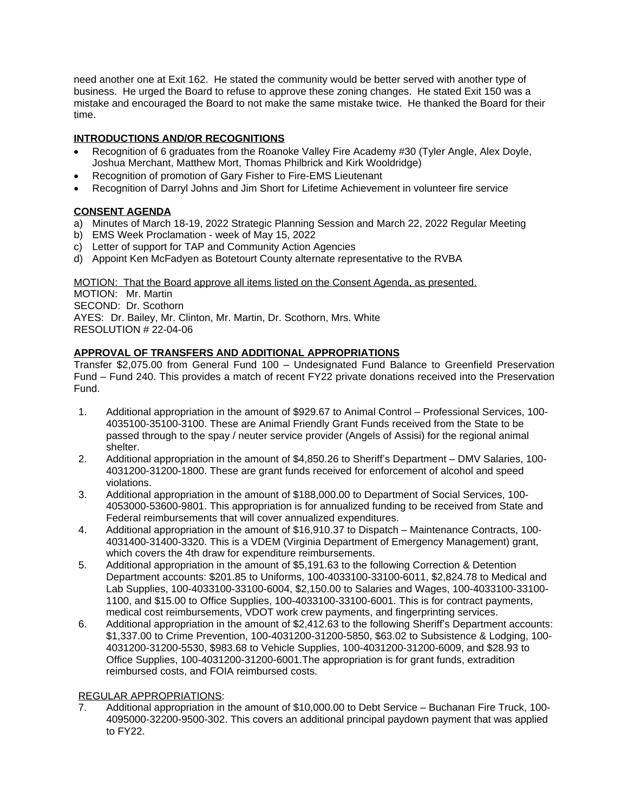need another one at Exit 162. He stated the community would be better served with another type of business. He urged the Board to refuse to approve these zoning changes. He stated Exit 150 was a mistake and encouraged the Board to not make the same mistake twice. He thanked the Board for their time.

# **INTRODUCTIONS AND/OR RECOGNITIONS**

- Recognition of 6 graduates from the Roanoke Valley Fire Academy #30 (Tyler Angle, Alex Doyle, Joshua Merchant, Matthew Mort, Thomas Philbrick and Kirk Wooldridge)
- Recognition of promotion of Gary Fisher to Fire-EMS Lieutenant
- Recognition of Darryl Johns and Jim Short for Lifetime Achievement in volunteer fire service

# **CONSENT AGENDA**

- a) Minutes of March 18-19, 2022 Strategic Planning Session and March 22, 2022 Regular Meeting
- b) EMS Week Proclamation week of May 15, 2022
- c) Letter of support for TAP and Community Action Agencies
- d) Appoint Ken McFadyen as Botetourt County alternate representative to the RVBA

MOTION: That the Board approve all items listed on the Consent Agenda, as presented. MOTION: Mr. Martin SECOND: Dr. Scothorn AYES: Dr. Bailey, Mr. Clinton, Mr. Martin, Dr. Scothorn, Mrs. White RESOLUTION # 22-04-06

# **APPROVAL OF TRANSFERS AND ADDITIONAL APPROPRIATIONS**

Transfer \$2,075.00 from General Fund 100 – Undesignated Fund Balance to Greenfield Preservation Fund – Fund 240. This provides a match of recent FY22 private donations received into the Preservation Fund.

- 1. Additional appropriation in the amount of \$929.67 to Animal Control Professional Services, 100- 4035100-35100-3100. These are Animal Friendly Grant Funds received from the State to be passed through to the spay / neuter service provider (Angels of Assisi) for the regional animal shelter.
- 2. Additional appropriation in the amount of \$4,850.26 to Sheriff's Department DMV Salaries, 100- 4031200-31200-1800. These are grant funds received for enforcement of alcohol and speed violations.
- 3. Additional appropriation in the amount of \$188,000.00 to Department of Social Services, 100- 4053000-53600-9801. This appropriation is for annualized funding to be received from State and Federal reimbursements that will cover annualized expenditures.
- 4. Additional appropriation in the amount of \$16,910.37 to Dispatch Maintenance Contracts, 100- 4031400-31400-3320. This is a VDEM (Virginia Department of Emergency Management) grant, which covers the 4th draw for expenditure reimbursements.
- 5. Additional appropriation in the amount of \$5,191.63 to the following Correction & Detention Department accounts: \$201.85 to Uniforms, 100-4033100-33100-6011, \$2,824.78 to Medical and Lab Supplies, 100-4033100-33100-6004, \$2,150.00 to Salaries and Wages, 100-4033100-33100- 1100, and \$15.00 to Office Supplies, 100-4033100-33100-6001. This is for contract payments, medical cost reimbursements, VDOT work crew payments, and fingerprinting services.
- 6. Additional appropriation in the amount of \$2,412.63 to the following Sheriff's Department accounts: \$1,337.00 to Crime Prevention, 100-4031200-31200-5850, \$63.02 to Subsistence & Lodging, 100- 4031200-31200-5530, \$983.68 to Vehicle Supplies, 100-4031200-31200-6009, and \$28.93 to Office Supplies, 100-4031200-31200-6001.The appropriation is for grant funds, extradition reimbursed costs, and FOIA reimbursed costs.

## REGULAR APPROPRIATIONS:

7. Additional appropriation in the amount of \$10,000.00 to Debt Service – Buchanan Fire Truck, 100- 4095000-32200-9500-302. This covers an additional principal paydown payment that was applied to FY22.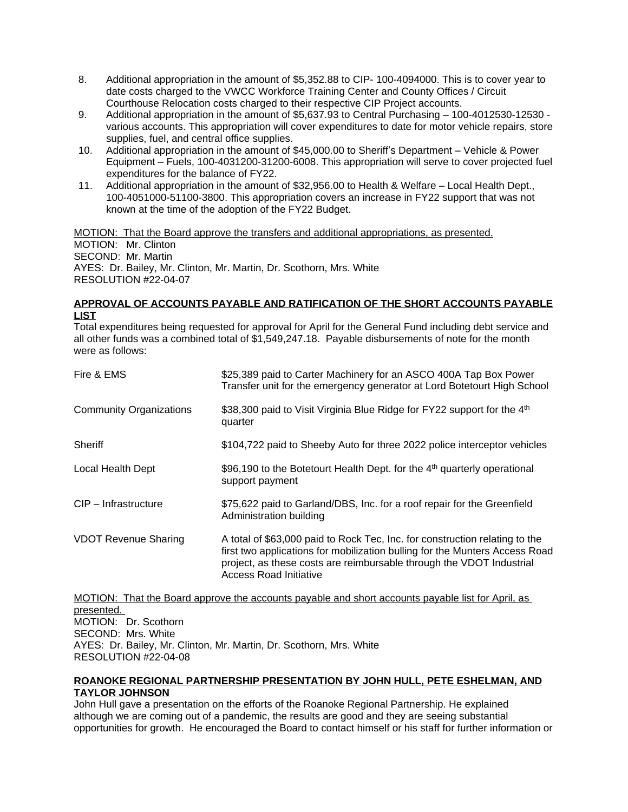- 8. Additional appropriation in the amount of \$5,352.88 to CIP- 100-4094000. This is to cover year to date costs charged to the VWCC Workforce Training Center and County Offices / Circuit Courthouse Relocation costs charged to their respective CIP Project accounts.
- 9. Additional appropriation in the amount of \$5,637.93 to Central Purchasing 100-4012530-12530 various accounts. This appropriation will cover expenditures to date for motor vehicle repairs, store supplies, fuel, and central office supplies.
- 10. Additional appropriation in the amount of \$45,000.00 to Sheriff's Department Vehicle & Power Equipment – Fuels, 100-4031200-31200-6008. This appropriation will serve to cover projected fuel expenditures for the balance of FY22.
- 11. Additional appropriation in the amount of \$32,956.00 to Health & Welfare Local Health Dept., 100-4051000-51100-3800. This appropriation covers an increase in FY22 support that was not known at the time of the adoption of the FY22 Budget.

MOTION: That the Board approve the transfers and additional appropriations, as presented. MOTION: Mr. Clinton SECOND: Mr. Martin AYES: Dr. Bailey, Mr. Clinton, Mr. Martin, Dr. Scothorn, Mrs. White RESOLUTION #22-04-07

## **APPROVAL OF ACCOUNTS PAYABLE AND RATIFICATION OF THE SHORT ACCOUNTS PAYABLE LIST**

Total expenditures being requested for approval for April for the General Fund including debt service and all other funds was a combined total of \$1,549,247.18. Payable disbursements of note for the month were as follows:

| Fire & EMS                     | \$25,389 paid to Carter Machinery for an ASCO 400A Tap Box Power<br>Transfer unit for the emergency generator at Lord Botetourt High School                                                                                                                         |
|--------------------------------|---------------------------------------------------------------------------------------------------------------------------------------------------------------------------------------------------------------------------------------------------------------------|
| <b>Community Organizations</b> | \$38,300 paid to Visit Virginia Blue Ridge for FY22 support for the 4 <sup>th</sup><br>quarter                                                                                                                                                                      |
| <b>Sheriff</b>                 | \$104,722 paid to Sheeby Auto for three 2022 police interceptor vehicles                                                                                                                                                                                            |
| Local Health Dept              | \$96,190 to the Botetourt Health Dept. for the 4 <sup>th</sup> quarterly operational<br>support payment                                                                                                                                                             |
| CIP - Infrastructure           | \$75,622 paid to Garland/DBS, Inc. for a roof repair for the Greenfield<br>Administration building                                                                                                                                                                  |
| <b>VDOT Revenue Sharing</b>    | A total of \$63,000 paid to Rock Tec, Inc. for construction relating to the<br>first two applications for mobilization bulling for the Munters Access Road<br>project, as these costs are reimbursable through the VDOT Industrial<br><b>Access Road Initiative</b> |

MOTION: That the Board approve the accounts payable and short accounts payable list for April, as presented. MOTION: Dr. Scothorn SECOND: Mrs. White AYES: Dr. Bailey, Mr. Clinton, Mr. Martin, Dr. Scothorn, Mrs. White RESOLUTION #22-04-08

#### **ROANOKE REGIONAL PARTNERSHIP PRESENTATION BY JOHN HULL, PETE ESHELMAN, AND TAYLOR JOHNSON**

John Hull gave a presentation on the efforts of the Roanoke Regional Partnership. He explained although we are coming out of a pandemic, the results are good and they are seeing substantial opportunities for growth. He encouraged the Board to contact himself or his staff for further information or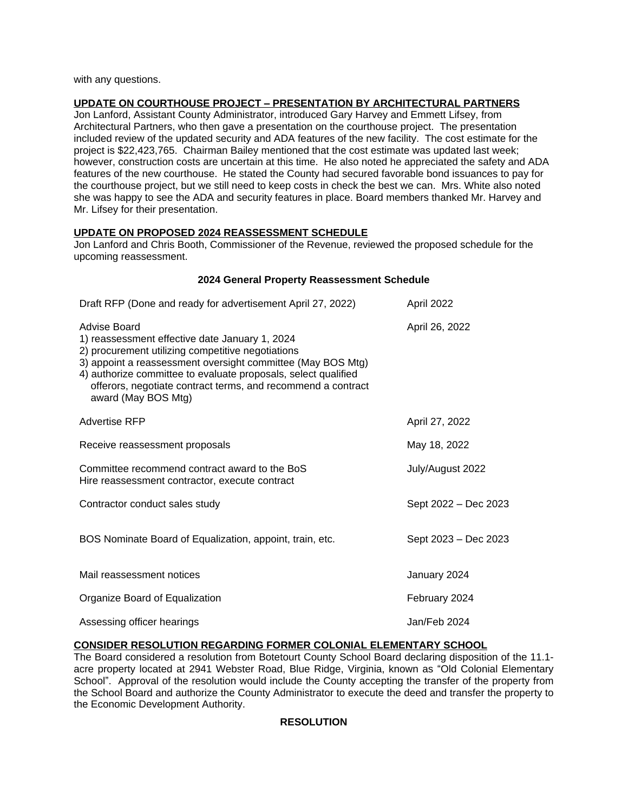with any questions.

## **UPDATE ON COURTHOUSE PROJECT – PRESENTATION BY ARCHITECTURAL PARTNERS**

Jon Lanford, Assistant County Administrator, introduced Gary Harvey and Emmett Lifsey, from Architectural Partners, who then gave a presentation on the courthouse project. The presentation included review of the updated security and ADA features of the new facility. The cost estimate for the project is \$22,423,765. Chairman Bailey mentioned that the cost estimate was updated last week; however, construction costs are uncertain at this time. He also noted he appreciated the safety and ADA features of the new courthouse. He stated the County had secured favorable bond issuances to pay for the courthouse project, but we still need to keep costs in check the best we can. Mrs. White also noted she was happy to see the ADA and security features in place. Board members thanked Mr. Harvey and Mr. Lifsey for their presentation.

### **UPDATE ON PROPOSED 2024 REASSESSMENT SCHEDULE**

Jon Lanford and Chris Booth, Commissioner of the Revenue, reviewed the proposed schedule for the upcoming reassessment.

#### **2024 General Property Reassessment Schedule**

| Draft RFP (Done and ready for advertisement April 27, 2022)                                                                                                                                                                                                                                                                                 | April 2022           |
|---------------------------------------------------------------------------------------------------------------------------------------------------------------------------------------------------------------------------------------------------------------------------------------------------------------------------------------------|----------------------|
| Advise Board<br>1) reassessment effective date January 1, 2024<br>2) procurement utilizing competitive negotiations<br>3) appoint a reassessment oversight committee (May BOS Mtg)<br>4) authorize committee to evaluate proposals, select qualified<br>offerors, negotiate contract terms, and recommend a contract<br>award (May BOS Mtg) | April 26, 2022       |
| <b>Advertise RFP</b>                                                                                                                                                                                                                                                                                                                        | April 27, 2022       |
| Receive reassessment proposals                                                                                                                                                                                                                                                                                                              | May 18, 2022         |
| Committee recommend contract award to the BoS<br>Hire reassessment contractor, execute contract                                                                                                                                                                                                                                             | July/August 2022     |
| Contractor conduct sales study                                                                                                                                                                                                                                                                                                              | Sept 2022 - Dec 2023 |
| BOS Nominate Board of Equalization, appoint, train, etc.                                                                                                                                                                                                                                                                                    | Sept 2023 - Dec 2023 |
| Mail reassessment notices                                                                                                                                                                                                                                                                                                                   | January 2024         |
| Organize Board of Equalization                                                                                                                                                                                                                                                                                                              | February 2024        |
| Assessing officer hearings                                                                                                                                                                                                                                                                                                                  | Jan/Feb 2024         |

## **CONSIDER RESOLUTION REGARDING FORMER COLONIAL ELEMENTARY SCHOOL**

The Board considered a resolution from Botetourt County School Board declaring disposition of the 11.1 acre property located at 2941 Webster Road, Blue Ridge, Virginia, known as "Old Colonial Elementary School". Approval of the resolution would include the County accepting the transfer of the property from the School Board and authorize the County Administrator to execute the deed and transfer the property to the Economic Development Authority.

### **RESOLUTION**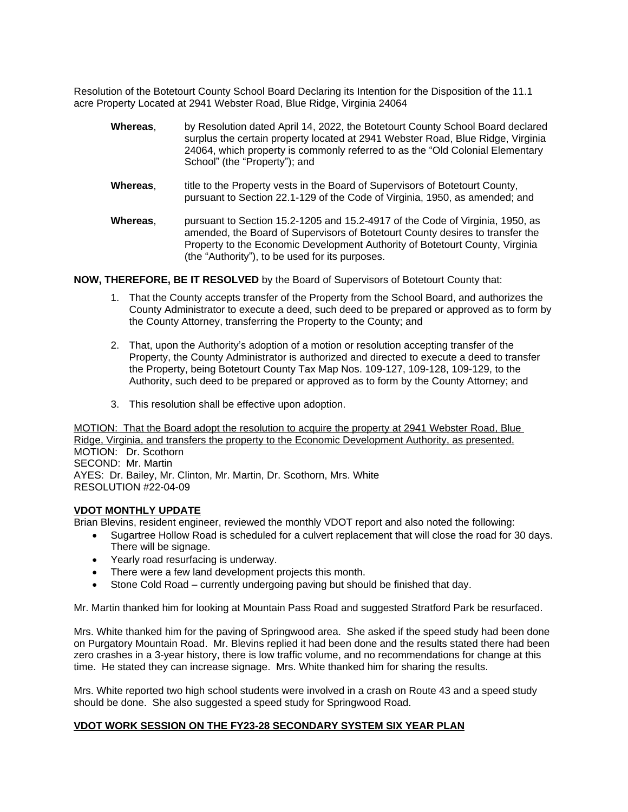Resolution of the Botetourt County School Board Declaring its Intention for the Disposition of the 11.1 acre Property Located at 2941 Webster Road, Blue Ridge, Virginia 24064

- **Whereas**, by Resolution dated April 14, 2022, the Botetourt County School Board declared surplus the certain property located at 2941 Webster Road, Blue Ridge, Virginia 24064, which property is commonly referred to as the "Old Colonial Elementary School" (the "Property"); and
- **Whereas,** title to the Property vests in the Board of Supervisors of Botetourt County, pursuant to Section 22.1-129 of the Code of Virginia, 1950, as amended; and
- **Whereas**, pursuant to Section 15.2-1205 and 15.2-4917 of the Code of Virginia, 1950, as amended, the Board of Supervisors of Botetourt County desires to transfer the Property to the Economic Development Authority of Botetourt County, Virginia (the "Authority"), to be used for its purposes.

**NOW, THEREFORE, BE IT RESOLVED** by the Board of Supervisors of Botetourt County that:

- 1. That the County accepts transfer of the Property from the School Board, and authorizes the County Administrator to execute a deed, such deed to be prepared or approved as to form by the County Attorney, transferring the Property to the County; and
- 2. That, upon the Authority's adoption of a motion or resolution accepting transfer of the Property, the County Administrator is authorized and directed to execute a deed to transfer the Property, being Botetourt County Tax Map Nos. 109-127, 109-128, 109-129, to the Authority, such deed to be prepared or approved as to form by the County Attorney; and
- 3. This resolution shall be effective upon adoption.

MOTION: That the Board adopt the resolution to acquire the property at 2941 Webster Road, Blue Ridge, Virginia, and transfers the property to the Economic Development Authority, as presented. MOTION: Dr. Scothorn SECOND: Mr. Martin AYES: Dr. Bailey, Mr. Clinton, Mr. Martin, Dr. Scothorn, Mrs. White RESOLUTION #22-04-09

#### **VDOT MONTHLY UPDATE**

Brian Blevins, resident engineer, reviewed the monthly VDOT report and also noted the following:

- Sugartree Hollow Road is scheduled for a culvert replacement that will close the road for 30 days. There will be signage.
- Yearly road resurfacing is underway.
- There were a few land development projects this month.
- Stone Cold Road currently undergoing paving but should be finished that day.

Mr. Martin thanked him for looking at Mountain Pass Road and suggested Stratford Park be resurfaced.

Mrs. White thanked him for the paving of Springwood area. She asked if the speed study had been done on Purgatory Mountain Road. Mr. Blevins replied it had been done and the results stated there had been zero crashes in a 3-year history, there is low traffic volume, and no recommendations for change at this time. He stated they can increase signage. Mrs. White thanked him for sharing the results.

Mrs. White reported two high school students were involved in a crash on Route 43 and a speed study should be done. She also suggested a speed study for Springwood Road.

#### **VDOT WORK SESSION ON THE FY23-28 SECONDARY SYSTEM SIX YEAR PLAN**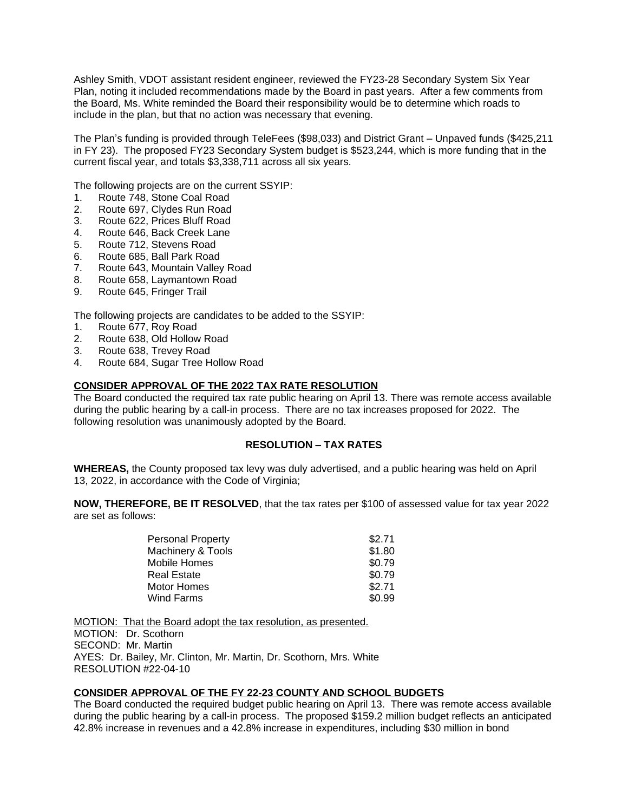Ashley Smith, VDOT assistant resident engineer, reviewed the FY23-28 Secondary System Six Year Plan, noting it included recommendations made by the Board in past years. After a few comments from the Board, Ms. White reminded the Board their responsibility would be to determine which roads to include in the plan, but that no action was necessary that evening.

The Plan's funding is provided through TeleFees (\$98,033) and District Grant – Unpaved funds (\$425,211 in FY 23). The proposed FY23 Secondary System budget is \$523,244, which is more funding that in the current fiscal year, and totals \$3,338,711 across all six years.

The following projects are on the current SSYIP:

- 1. Route 748, Stone Coal Road
- 2. Route 697, Clydes Run Road
- 3. Route 622, Prices Bluff Road<br>4. Route 646. Back Creek Lane
- Route 646, Back Creek Lane
- 5. Route 712, Stevens Road
- 6. Route 685, Ball Park Road
- 7. Route 643, Mountain Valley Road
- 8. Route 658, Laymantown Road
- 9. Route 645, Fringer Trail

The following projects are candidates to be added to the SSYIP:

- 1. Route 677, Roy Road<br>2. Route 638, Old Hollow
- 2. Route 638, Old Hollow Road
- 3. Route 638, Trevey Road
- 4. Route 684, Sugar Tree Hollow Road

#### **CONSIDER APPROVAL OF THE 2022 TAX RATE RESOLUTION**

The Board conducted the required tax rate public hearing on April 13. There was remote access available during the public hearing by a call-in process. There are no tax increases proposed for 2022. The following resolution was unanimously adopted by the Board.

### **RESOLUTION – TAX RATES**

**WHEREAS,** the County proposed tax levy was duly advertised, and a public hearing was held on April 13, 2022, in accordance with the Code of Virginia;

**NOW, THEREFORE, BE IT RESOLVED**, that the tax rates per \$100 of assessed value for tax year 2022 are set as follows:

| <b>Personal Property</b>     | \$2.71 |
|------------------------------|--------|
| <b>Machinery &amp; Tools</b> | \$1.80 |
| <b>Mobile Homes</b>          | \$0.79 |
| <b>Real Estate</b>           | \$0.79 |
| <b>Motor Homes</b>           | \$2.71 |
| Wind Farms                   | \$0.99 |

MOTION: That the Board adopt the tax resolution, as presented.

MOTION: Dr. Scothorn SECOND: Mr. Martin AYES: Dr. Bailey, Mr. Clinton, Mr. Martin, Dr. Scothorn, Mrs. White RESOLUTION #22-04-10

#### **CONSIDER APPROVAL OF THE FY 22-23 COUNTY AND SCHOOL BUDGETS**

The Board conducted the required budget public hearing on April 13. There was remote access available during the public hearing by a call-in process. The proposed \$159.2 million budget reflects an anticipated 42.8% increase in revenues and a 42.8% increase in expenditures, including \$30 million in bond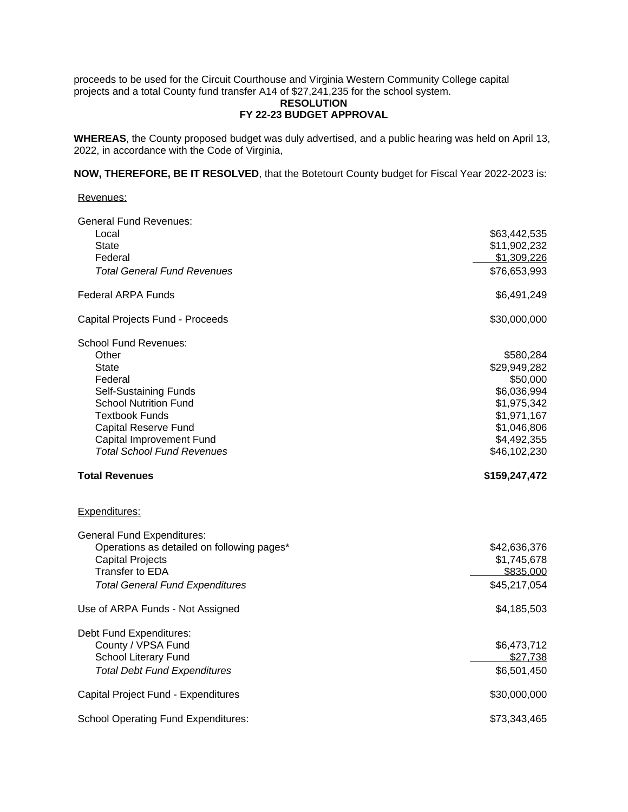proceeds to be used for the Circuit Courthouse and Virginia Western Community College capital projects and a total County fund transfer A14 of \$27,241,235 for the school system.

### **RESOLUTION FY 22-23 BUDGET APPROVAL**

**WHEREAS**, the County proposed budget was duly advertised, and a public hearing was held on April 13, 2022, in accordance with the Code of Virginia,

**NOW, THEREFORE, BE IT RESOLVED**, that the Botetourt County budget for Fiscal Year 2022-2023 is:

#### Revenues:

| <b>General Fund Revenues:</b>              |               |
|--------------------------------------------|---------------|
| Local                                      | \$63,442,535  |
| <b>State</b>                               | \$11,902,232  |
| Federal                                    | \$1,309,226   |
| <b>Total General Fund Revenues</b>         | \$76,653,993  |
| <b>Federal ARPA Funds</b>                  | \$6,491,249   |
| Capital Projects Fund - Proceeds           | \$30,000,000  |
| <b>School Fund Revenues:</b>               |               |
| Other                                      | \$580,284     |
| <b>State</b>                               | \$29,949,282  |
| Federal                                    | \$50,000      |
| Self-Sustaining Funds                      | \$6,036,994   |
| <b>School Nutrition Fund</b>               | \$1,975,342   |
| <b>Textbook Funds</b>                      | \$1,971,167   |
| <b>Capital Reserve Fund</b>                | \$1,046,806   |
| Capital Improvement Fund                   | \$4,492,355   |
| <b>Total School Fund Revenues</b>          | \$46,102,230  |
| <b>Total Revenues</b>                      | \$159,247,472 |
| Expenditures:                              |               |
| <b>General Fund Expenditures:</b>          |               |
| Operations as detailed on following pages* | \$42,636,376  |
| <b>Capital Projects</b>                    | \$1,745,678   |
| Transfer to EDA                            | \$835,000     |
| <b>Total General Fund Expenditures</b>     | \$45,217,054  |
| Use of ARPA Funds - Not Assigned           | \$4,185,503   |
| Debt Fund Expenditures:                    |               |
| County / VPSA Fund                         | \$6,473,712   |
| School Literary Fund                       | \$27,738      |
| <b>Total Debt Fund Expenditures</b>        | \$6,501,450   |
| Capital Project Fund - Expenditures        | \$30,000,000  |
| <b>School Operating Fund Expenditures:</b> | \$73,343,465  |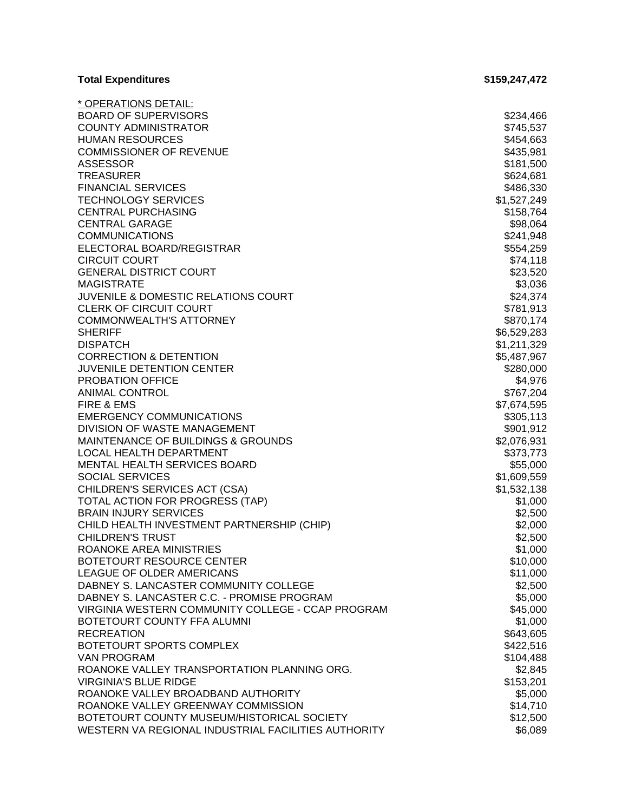| <b>Total Expenditures</b>                                                                         | \$159,247,472       |
|---------------------------------------------------------------------------------------------------|---------------------|
| <u>* OPERATIONS DETAIL:</u>                                                                       |                     |
| <b>BOARD OF SUPERVISORS</b>                                                                       | \$234,466           |
| <b>COUNTY ADMINISTRATOR</b>                                                                       | \$745,537           |
| <b>HUMAN RESOURCES</b>                                                                            | \$454,663           |
| <b>COMMISSIONER OF REVENUE</b>                                                                    | \$435,981           |
| <b>ASSESSOR</b>                                                                                   | \$181,500           |
| <b>TREASURER</b>                                                                                  | \$624,681           |
| <b>FINANCIAL SERVICES</b>                                                                         | \$486,330           |
| <b>TECHNOLOGY SERVICES</b>                                                                        | \$1,527,249         |
| <b>CENTRAL PURCHASING</b>                                                                         | \$158,764           |
| <b>CENTRAL GARAGE</b>                                                                             | \$98,064            |
| <b>COMMUNICATIONS</b>                                                                             | \$241,948           |
| ELECTORAL BOARD/REGISTRAR                                                                         | \$554,259           |
| <b>CIRCUIT COURT</b>                                                                              | \$74,118            |
| <b>GENERAL DISTRICT COURT</b>                                                                     | \$23,520            |
| <b>MAGISTRATE</b>                                                                                 | \$3,036             |
| JUVENILE & DOMESTIC RELATIONS COURT                                                               | \$24,374            |
| <b>CLERK OF CIRCUIT COURT</b>                                                                     | \$781,913           |
| <b>COMMONWEALTH'S ATTORNEY</b>                                                                    | \$870,174           |
| <b>SHERIFF</b>                                                                                    | \$6,529,283         |
| <b>DISPATCH</b>                                                                                   | \$1,211,329         |
| <b>CORRECTION &amp; DETENTION</b>                                                                 | \$5,487,967         |
| JUVENILE DETENTION CENTER                                                                         | \$280,000           |
| <b>PROBATION OFFICE</b>                                                                           | \$4,976             |
| <b>ANIMAL CONTROL</b>                                                                             | \$767,204           |
| FIRE & EMS                                                                                        | \$7,674,595         |
| <b>EMERGENCY COMMUNICATIONS</b>                                                                   | \$305,113           |
| DIVISION OF WASTE MANAGEMENT                                                                      | \$901,912           |
| MAINTENANCE OF BUILDINGS & GROUNDS                                                                | \$2,076,931         |
| LOCAL HEALTH DEPARTMENT                                                                           | \$373,773           |
| MENTAL HEALTH SERVICES BOARD                                                                      | \$55,000            |
| <b>SOCIAL SERVICES</b>                                                                            | \$1,609,559         |
| CHILDREN'S SERVICES ACT (CSA)                                                                     | \$1,532,138         |
| TOTAL ACTION FOR PROGRESS (TAP)                                                                   | \$1,000             |
| <b>BRAIN INJURY SERVICES</b>                                                                      | \$2,500             |
| CHILD HEALTH INVESTMENT PARTNERSHIP (CHIP)                                                        | \$2,000             |
| <b>CHILDREN'S TRUST</b>                                                                           | \$2,500             |
| ROANOKE AREA MINISTRIES                                                                           | \$1,000             |
| BOTETOURT RESOURCE CENTER                                                                         | \$10,000            |
| <b>LEAGUE OF OLDER AMERICANS</b>                                                                  | \$11,000            |
| DABNEY S. LANCASTER COMMUNITY COLLEGE                                                             | \$2,500             |
| DABNEY S. LANCASTER C.C. - PROMISE PROGRAM                                                        | \$5,000             |
| VIRGINIA WESTERN COMMUNITY COLLEGE - CCAP PROGRAM                                                 | \$45,000            |
| BOTETOURT COUNTY FFA ALUMNI                                                                       | \$1,000             |
| <b>RECREATION</b>                                                                                 | \$643,605           |
| BOTETOURT SPORTS COMPLEX                                                                          | \$422,516           |
| <b>VAN PROGRAM</b>                                                                                | \$104,488           |
| ROANOKE VALLEY TRANSPORTATION PLANNING ORG.                                                       |                     |
|                                                                                                   | \$2,845             |
| <b>VIRGINIA'S BLUE RIDGE</b>                                                                      | \$153,201           |
| ROANOKE VALLEY BROADBAND AUTHORITY                                                                | \$5,000             |
| ROANOKE VALLEY GREENWAY COMMISSION                                                                | \$14,710            |
| BOTETOURT COUNTY MUSEUM/HISTORICAL SOCIETY<br>WESTERN VA REGIONAL INDUSTRIAL FACILITIES AUTHORITY | \$12,500<br>\$6,089 |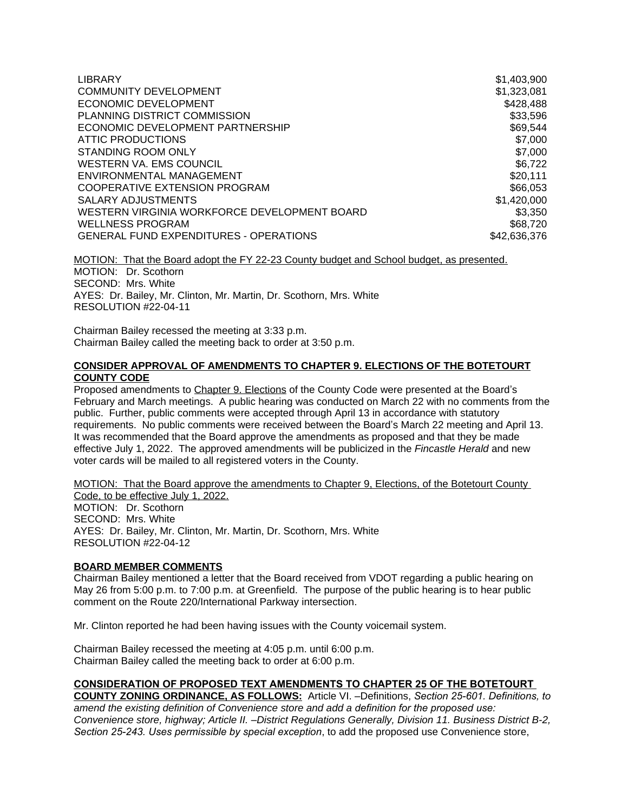| <b>LIBRARY</b>                                | \$1,403,900  |
|-----------------------------------------------|--------------|
| <b>COMMUNITY DEVELOPMENT</b>                  | \$1,323,081  |
| ECONOMIC DEVELOPMENT                          | \$428,488    |
| PLANNING DISTRICT COMMISSION                  | \$33,596     |
| ECONOMIC DEVELOPMENT PARTNERSHIP              | \$69,544     |
| ATTIC PRODUCTIONS                             | \$7,000      |
| <b>STANDING ROOM ONLY</b>                     | \$7,000      |
| WESTERN VA. EMS COUNCIL                       | \$6,722      |
| ENVIRONMENTAL MANAGEMENT                      | \$20,111     |
| COOPERATIVE EXTENSION PROGRAM                 | \$66,053     |
| SALARY ADJUSTMENTS                            | \$1,420,000  |
| WESTERN VIRGINIA WORKFORCE DEVELOPMENT BOARD  | \$3,350      |
| <b>WELLNESS PROGRAM</b>                       | \$68,720     |
| <b>GENERAL FUND EXPENDITURES - OPERATIONS</b> | \$42,636,376 |

MOTION: That the Board adopt the FY 22-23 County budget and School budget, as presented. MOTION: Dr. Scothorn SECOND: Mrs. White AYES: Dr. Bailey, Mr. Clinton, Mr. Martin, Dr. Scothorn, Mrs. White RESOLUTION #22-04-11

Chairman Bailey recessed the meeting at 3:33 p.m. Chairman Bailey called the meeting back to order at 3:50 p.m.

#### **CONSIDER APPROVAL OF AMENDMENTS TO CHAPTER 9. ELECTIONS OF THE BOTETOURT COUNTY CODE**

Proposed amendments to Chapter 9. Elections of the County Code were presented at the Board's February and March meetings. A public hearing was conducted on March 22 with no comments from the public. Further, public comments were accepted through April 13 in accordance with statutory requirements. No public comments were received between the Board's March 22 meeting and April 13. It was recommended that the Board approve the amendments as proposed and that they be made effective July 1, 2022. The approved amendments will be publicized in the *Fincastle Herald* and new voter cards will be mailed to all registered voters in the County.

MOTION: That the Board approve the amendments to Chapter 9, Elections, of the Botetourt County Code, to be effective July 1, 2022. MOTION: Dr. Scothorn SECOND: Mrs. White AYES: Dr. Bailey, Mr. Clinton, Mr. Martin, Dr. Scothorn, Mrs. White RESOLUTION #22-04-12

#### **BOARD MEMBER COMMENTS**

Chairman Bailey mentioned a letter that the Board received from VDOT regarding a public hearing on May 26 from 5:00 p.m. to 7:00 p.m. at Greenfield. The purpose of the public hearing is to hear public comment on the Route 220/International Parkway intersection.

Mr. Clinton reported he had been having issues with the County voicemail system.

Chairman Bailey recessed the meeting at 4:05 p.m. until 6:00 p.m. Chairman Bailey called the meeting back to order at 6:00 p.m.

#### **CONSIDERATION OF PROPOSED TEXT AMENDMENTS TO CHAPTER 25 OF THE BOTETOURT**

**COUNTY ZONING ORDINANCE, AS FOLLOWS:** Article VI. –Definitions, *Section 25-601. Definitions, to amend the existing definition of Convenience store and add a definition for the proposed use: Convenience store, highway; Article II. –District Regulations Generally, Division 11. Business District B-2, Section 25-243. Uses permissible by special exception*, to add the proposed use Convenience store,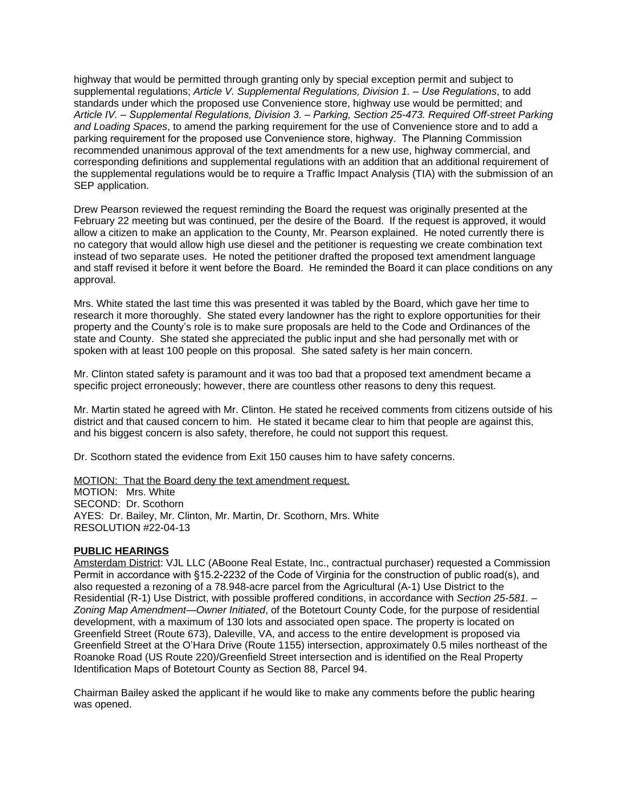highway that would be permitted through granting only by special exception permit and subject to supplemental regulations; *Article V. Supplemental Regulations, Division 1. – Use Regulations, to add* standards under which the proposed use Convenience store, highway use would be permitted; and *Article IV. – Supplemental Regulations, Division 3. – Parking, Section 25-473. Required Off-street Parking and Loading Spaces*, to amend the parking requirement for the use of Convenience store and to add a parking requirement for the proposed use Convenience store, highway. The Planning Commission recommended unanimous approval of the text amendments for a new use, highway commercial, and corresponding definitions and supplemental regulations with an addition that an additional requirement of the supplemental regulations would be to require a Traffic Impact Analysis (TIA) with the submission of an SEP application.

Drew Pearson reviewed the request reminding the Board the request was originally presented at the February 22 meeting but was continued, per the desire of the Board. If the request is approved, it would allow a citizen to make an application to the County, Mr. Pearson explained. He noted currently there is no category that would allow high use diesel and the petitioner is requesting we create combination text instead of two separate uses. He noted the petitioner drafted the proposed text amendment language and staff revised it before it went before the Board. He reminded the Board it can place conditions on any approval.

Mrs. White stated the last time this was presented it was tabled by the Board, which gave her time to research it more thoroughly. She stated every landowner has the right to explore opportunities for their property and the County's role is to make sure proposals are held to the Code and Ordinances of the state and County. She stated she appreciated the public input and she had personally met with or spoken with at least 100 people on this proposal. She sated safety is her main concern.

Mr. Clinton stated safety is paramount and it was too bad that a proposed text amendment became a specific project erroneously; however, there are countless other reasons to deny this request.

Mr. Martin stated he agreed with Mr. Clinton. He stated he received comments from citizens outside of his district and that caused concern to him. He stated it became clear to him that people are against this, and his biggest concern is also safety, therefore, he could not support this request.

Dr. Scothorn stated the evidence from Exit 150 causes him to have safety concerns.

MOTION: That the Board deny the text amendment request. MOTION: Mrs. White SECOND: Dr. Scothorn AYES: Dr. Bailey, Mr. Clinton, Mr. Martin, Dr. Scothorn, Mrs. White RESOLUTION #22-04-13

#### **PUBLIC HEARINGS**

Amsterdam District: VJL LLC (ABoone Real Estate, Inc., contractual purchaser) requested a Commission Permit in accordance with §15.2-2232 of the Code of Virginia for the construction of public road(s), and also requested a rezoning of a 78.948-acre parcel from the Agricultural (A-1) Use District to the Residential (R-1) Use District, with possible proffered conditions, in accordance with *Section 25-581. – Zoning Map Amendment—Owner Initiated*, of the Botetourt County Code, for the purpose of residential development, with a maximum of 130 lots and associated open space. The property is located on Greenfield Street (Route 673), Daleville, VA, and access to the entire development is proposed via Greenfield Street at the O'Hara Drive (Route 1155) intersection, approximately 0.5 miles northeast of the Roanoke Road (US Route 220)/Greenfield Street intersection and is identified on the Real Property Identification Maps of Botetourt County as Section 88, Parcel 94.

Chairman Bailey asked the applicant if he would like to make any comments before the public hearing was opened.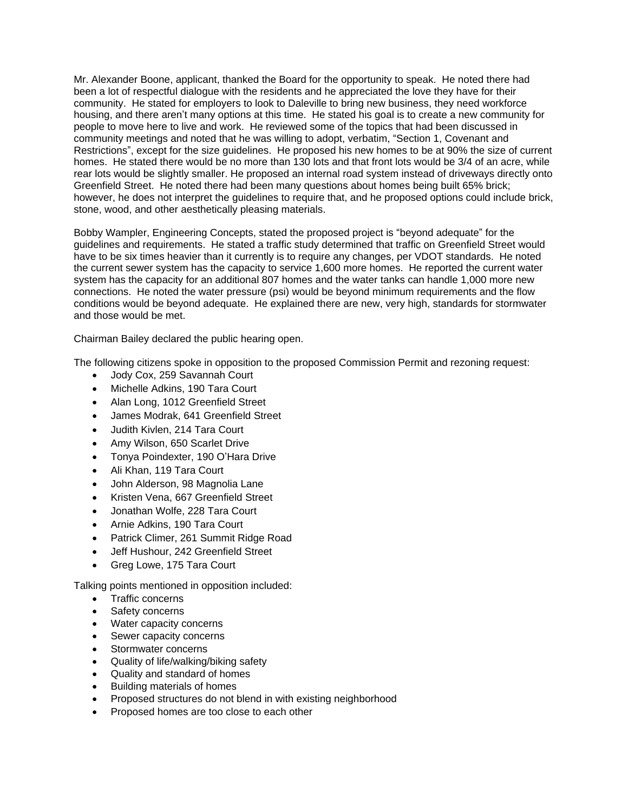Mr. Alexander Boone, applicant, thanked the Board for the opportunity to speak. He noted there had been a lot of respectful dialogue with the residents and he appreciated the love they have for their community. He stated for employers to look to Daleville to bring new business, they need workforce housing, and there aren't many options at this time. He stated his goal is to create a new community for people to move here to live and work. He reviewed some of the topics that had been discussed in community meetings and noted that he was willing to adopt, verbatim, "Section 1, Covenant and Restrictions", except for the size guidelines. He proposed his new homes to be at 90% the size of current homes. He stated there would be no more than 130 lots and that front lots would be 3/4 of an acre, while rear lots would be slightly smaller. He proposed an internal road system instead of driveways directly onto Greenfield Street. He noted there had been many questions about homes being built 65% brick; however, he does not interpret the guidelines to require that, and he proposed options could include brick, stone, wood, and other aesthetically pleasing materials.

Bobby Wampler, Engineering Concepts, stated the proposed project is "beyond adequate" for the guidelines and requirements. He stated a traffic study determined that traffic on Greenfield Street would have to be six times heavier than it currently is to require any changes, per VDOT standards. He noted the current sewer system has the capacity to service 1,600 more homes. He reported the current water system has the capacity for an additional 807 homes and the water tanks can handle 1,000 more new connections. He noted the water pressure (psi) would be beyond minimum requirements and the flow conditions would be beyond adequate. He explained there are new, very high, standards for stormwater and those would be met.

Chairman Bailey declared the public hearing open.

The following citizens spoke in opposition to the proposed Commission Permit and rezoning request:

- Jody Cox, 259 Savannah Court
- Michelle Adkins, 190 Tara Court
- Alan Long, 1012 Greenfield Street
- James Modrak, 641 Greenfield Street
- Judith Kivlen, 214 Tara Court
- Amy Wilson, 650 Scarlet Drive
- Tonya Poindexter, 190 O'Hara Drive
- Ali Khan, 119 Tara Court
- John Alderson, 98 Magnolia Lane
- Kristen Vena, 667 Greenfield Street
- Jonathan Wolfe, 228 Tara Court
- Arnie Adkins, 190 Tara Court
- Patrick Climer, 261 Summit Ridge Road
- Jeff Hushour, 242 Greenfield Street
- Greg Lowe, 175 Tara Court

Talking points mentioned in opposition included:

- Traffic concerns
- Safety concerns
- Water capacity concerns
- Sewer capacity concerns
- Stormwater concerns
- Quality of life/walking/biking safety
- Quality and standard of homes
- Building materials of homes
- Proposed structures do not blend in with existing neighborhood
- Proposed homes are too close to each other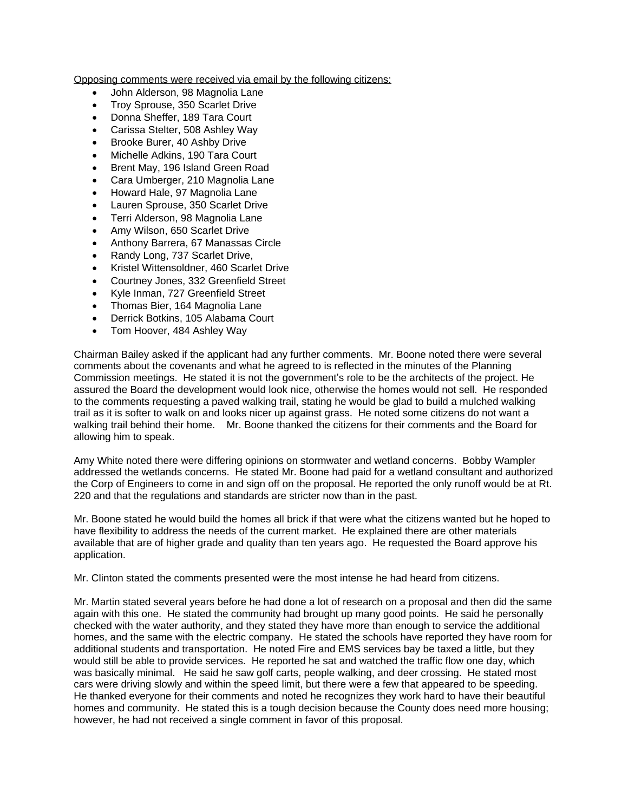Opposing comments were received via email by the following citizens:

- John Alderson, 98 Magnolia Lane
- Troy Sprouse, 350 Scarlet Drive
- Donna Sheffer, 189 Tara Court
- Carissa Stelter, 508 Ashley Way
- Brooke Burer, 40 Ashby Drive
- Michelle Adkins, 190 Tara Court
- Brent May, 196 Island Green Road
- Cara Umberger, 210 Magnolia Lane
- Howard Hale, 97 Magnolia Lane
- Lauren Sprouse, 350 Scarlet Drive
- Terri Alderson, 98 Magnolia Lane
- Amy Wilson, 650 Scarlet Drive
- Anthony Barrera, 67 Manassas Circle
- Randy Long, 737 Scarlet Drive,
- Kristel Wittensoldner, 460 Scarlet Drive
- Courtney Jones, 332 Greenfield Street
- Kyle Inman, 727 Greenfield Street
- Thomas Bier, 164 Magnolia Lane
- Derrick Botkins, 105 Alabama Court
- Tom Hoover, 484 Ashley Way

Chairman Bailey asked if the applicant had any further comments. Mr. Boone noted there were several comments about the covenants and what he agreed to is reflected in the minutes of the Planning Commission meetings. He stated it is not the government's role to be the architects of the project. He assured the Board the development would look nice, otherwise the homes would not sell. He responded to the comments requesting a paved walking trail, stating he would be glad to build a mulched walking trail as it is softer to walk on and looks nicer up against grass. He noted some citizens do not want a walking trail behind their home. Mr. Boone thanked the citizens for their comments and the Board for allowing him to speak.

Amy White noted there were differing opinions on stormwater and wetland concerns. Bobby Wampler addressed the wetlands concerns. He stated Mr. Boone had paid for a wetland consultant and authorized the Corp of Engineers to come in and sign off on the proposal. He reported the only runoff would be at Rt. 220 and that the regulations and standards are stricter now than in the past.

Mr. Boone stated he would build the homes all brick if that were what the citizens wanted but he hoped to have flexibility to address the needs of the current market. He explained there are other materials available that are of higher grade and quality than ten years ago. He requested the Board approve his application.

Mr. Clinton stated the comments presented were the most intense he had heard from citizens.

Mr. Martin stated several years before he had done a lot of research on a proposal and then did the same again with this one. He stated the community had brought up many good points. He said he personally checked with the water authority, and they stated they have more than enough to service the additional homes, and the same with the electric company. He stated the schools have reported they have room for additional students and transportation. He noted Fire and EMS services bay be taxed a little, but they would still be able to provide services. He reported he sat and watched the traffic flow one day, which was basically minimal. He said he saw golf carts, people walking, and deer crossing. He stated most cars were driving slowly and within the speed limit, but there were a few that appeared to be speeding. He thanked everyone for their comments and noted he recognizes they work hard to have their beautiful homes and community. He stated this is a tough decision because the County does need more housing; however, he had not received a single comment in favor of this proposal.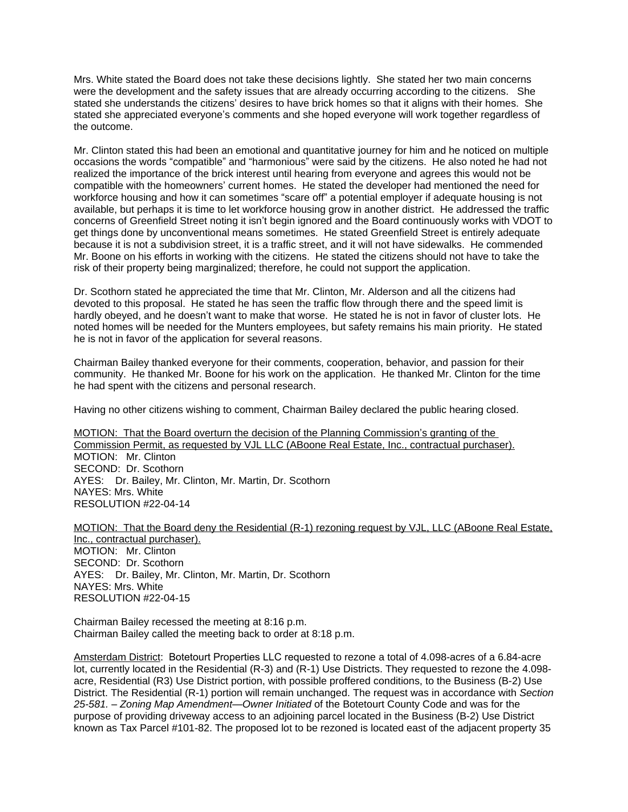Mrs. White stated the Board does not take these decisions lightly. She stated her two main concerns were the development and the safety issues that are already occurring according to the citizens. She stated she understands the citizens' desires to have brick homes so that it aligns with their homes. She stated she appreciated everyone's comments and she hoped everyone will work together regardless of the outcome.

Mr. Clinton stated this had been an emotional and quantitative journey for him and he noticed on multiple occasions the words "compatible" and "harmonious" were said by the citizens. He also noted he had not realized the importance of the brick interest until hearing from everyone and agrees this would not be compatible with the homeowners' current homes. He stated the developer had mentioned the need for workforce housing and how it can sometimes "scare off" a potential employer if adequate housing is not available, but perhaps it is time to let workforce housing grow in another district. He addressed the traffic concerns of Greenfield Street noting it isn't begin ignored and the Board continuously works with VDOT to get things done by unconventional means sometimes. He stated Greenfield Street is entirely adequate because it is not a subdivision street, it is a traffic street, and it will not have sidewalks. He commended Mr. Boone on his efforts in working with the citizens. He stated the citizens should not have to take the risk of their property being marginalized; therefore, he could not support the application.

Dr. Scothorn stated he appreciated the time that Mr. Clinton, Mr. Alderson and all the citizens had devoted to this proposal. He stated he has seen the traffic flow through there and the speed limit is hardly obeyed, and he doesn't want to make that worse. He stated he is not in favor of cluster lots. He noted homes will be needed for the Munters employees, but safety remains his main priority. He stated he is not in favor of the application for several reasons.

Chairman Bailey thanked everyone for their comments, cooperation, behavior, and passion for their community. He thanked Mr. Boone for his work on the application. He thanked Mr. Clinton for the time he had spent with the citizens and personal research.

Having no other citizens wishing to comment, Chairman Bailey declared the public hearing closed.

MOTION: That the Board overturn the decision of the Planning Commission's granting of the Commission Permit, as requested by VJL LLC (ABoone Real Estate, Inc., contractual purchaser). MOTION: Mr. Clinton SECOND: Dr. Scothorn AYES: Dr. Bailey, Mr. Clinton, Mr. Martin, Dr. Scothorn NAYES: Mrs. White RESOLUTION #22-04-14

MOTION: That the Board deny the Residential (R-1) rezoning request by VJL, LLC (ABoone Real Estate, Inc., contractual purchaser). MOTION: Mr. Clinton SECOND: Dr. Scothorn AYES: Dr. Bailey, Mr. Clinton, Mr. Martin, Dr. Scothorn NAYES: Mrs. White RESOLUTION #22-04-15

Chairman Bailey recessed the meeting at 8:16 p.m. Chairman Bailey called the meeting back to order at 8:18 p.m.

Amsterdam District: Botetourt Properties LLC requested to rezone a total of 4.098-acres of a 6.84-acre lot, currently located in the Residential (R-3) and (R-1) Use Districts. They requested to rezone the 4.098 acre, Residential (R3) Use District portion, with possible proffered conditions, to the Business (B-2) Use District. The Residential (R-1) portion will remain unchanged. The request was in accordance with *Section 25-581. – Zoning Map Amendment—Owner Initiated* of the Botetourt County Code and was for the purpose of providing driveway access to an adjoining parcel located in the Business (B-2) Use District known as Tax Parcel #101-82. The proposed lot to be rezoned is located east of the adjacent property 35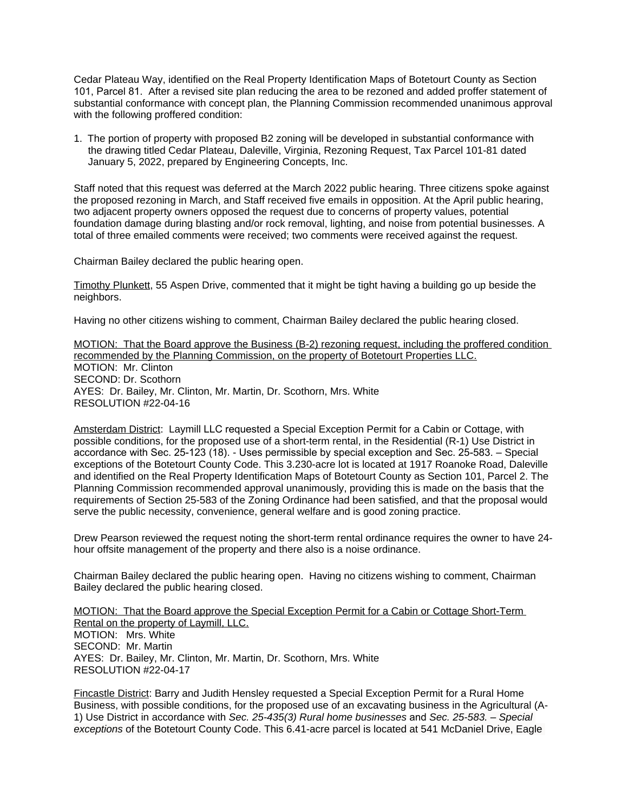Cedar Plateau Way, identified on the Real Property Identification Maps of Botetourt County as Section 101, Parcel 81. After a revised site plan reducing the area to be rezoned and added proffer statement of substantial conformance with concept plan, the Planning Commission recommended unanimous approval with the following proffered condition:

1. The portion of property with proposed B2 zoning will be developed in substantial conformance with the drawing titled Cedar Plateau, Daleville, Virginia, Rezoning Request, Tax Parcel 101-81 dated January 5, 2022, prepared by Engineering Concepts, Inc.

Staff noted that this request was deferred at the March 2022 public hearing. Three citizens spoke against the proposed rezoning in March, and Staff received five emails in opposition. At the April public hearing, two adjacent property owners opposed the request due to concerns of property values, potential foundation damage during blasting and/or rock removal, lighting, and noise from potential businesses. A total of three emailed comments were received; two comments were received against the request.

Chairman Bailey declared the public hearing open.

Timothy Plunkett, 55 Aspen Drive, commented that it might be tight having a building go up beside the neighbors.

Having no other citizens wishing to comment, Chairman Bailey declared the public hearing closed.

MOTION: That the Board approve the Business (B-2) rezoning request, including the proffered condition recommended by the Planning Commission, on the property of Botetourt Properties LLC. MOTION: Mr. Clinton SECOND: Dr. Scothorn AYES: Dr. Bailey, Mr. Clinton, Mr. Martin, Dr. Scothorn, Mrs. White RESOLUTION #22-04-16

Amsterdam District: Laymill LLC requested a Special Exception Permit for a Cabin or Cottage, with possible conditions, for the proposed use of a short-term rental, in the Residential (R-1) Use District in accordance with Sec. 25-123 (18). - Uses permissible by special exception and Sec. 25-583. – Special exceptions of the Botetourt County Code. This 3.230-acre lot is located at 1917 Roanoke Road, Daleville and identified on the Real Property Identification Maps of Botetourt County as Section 101, Parcel 2. The Planning Commission recommended approval unanimously, providing this is made on the basis that the requirements of Section 25-583 of the Zoning Ordinance had been satisfied, and that the proposal would serve the public necessity, convenience, general welfare and is good zoning practice.

Drew Pearson reviewed the request noting the short-term rental ordinance requires the owner to have 24 hour offsite management of the property and there also is a noise ordinance.

Chairman Bailey declared the public hearing open. Having no citizens wishing to comment, Chairman Bailey declared the public hearing closed.

MOTION: That the Board approve the Special Exception Permit for a Cabin or Cottage Short-Term Rental on the property of Laymill, LLC. MOTION: Mrs. White SECOND: Mr. Martin AYES: Dr. Bailey, Mr. Clinton, Mr. Martin, Dr. Scothorn, Mrs. White RESOLUTION #22-04-17

Fincastle District: Barry and Judith Hensley requested a Special Exception Permit for a Rural Home Business, with possible conditions, for the proposed use of an excavating business in the Agricultural (A-1) Use District in accordance with *Sec. 25-435(3) Rural home businesses* and *Sec. 25-583. – Special exceptions* of the Botetourt County Code. This 6.41-acre parcel is located at 541 McDaniel Drive, Eagle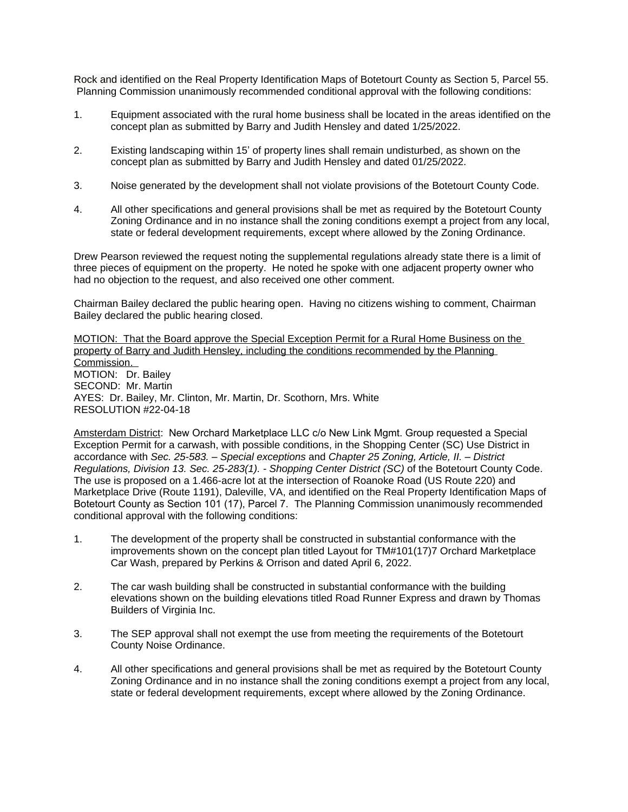Rock and identified on the Real Property Identification Maps of Botetourt County as Section 5, Parcel 55. Planning Commission unanimously recommended conditional approval with the following conditions:

- 1. Equipment associated with the rural home business shall be located in the areas identified on the concept plan as submitted by Barry and Judith Hensley and dated 1/25/2022.
- 2. Existing landscaping within 15' of property lines shall remain undisturbed, as shown on the concept plan as submitted by Barry and Judith Hensley and dated 01/25/2022.
- 3. Noise generated by the development shall not violate provisions of the Botetourt County Code.
- 4. All other specifications and general provisions shall be met as required by the Botetourt County Zoning Ordinance and in no instance shall the zoning conditions exempt a project from any local, state or federal development requirements, except where allowed by the Zoning Ordinance.

Drew Pearson reviewed the request noting the supplemental regulations already state there is a limit of three pieces of equipment on the property. He noted he spoke with one adjacent property owner who had no objection to the request, and also received one other comment.

Chairman Bailey declared the public hearing open. Having no citizens wishing to comment, Chairman Bailey declared the public hearing closed.

MOTION: That the Board approve the Special Exception Permit for a Rural Home Business on the property of Barry and Judith Hensley, including the conditions recommended by the Planning Commission. MOTION: Dr. Bailey SECOND: Mr. Martin AYES: Dr. Bailey, Mr. Clinton, Mr. Martin, Dr. Scothorn, Mrs. White RESOLUTION #22-04-18

Amsterdam District: New Orchard Marketplace LLC c/o New Link Mgmt. Group requested a Special Exception Permit for a carwash, with possible conditions, in the Shopping Center (SC) Use District in accordance with *Sec. 25-583. – Special exceptions* and *Chapter 25 Zoning, Article, II. – District Regulations, Division 13. Sec. 25-283(1). - Shopping Center District (SC)* of the Botetourt County Code. The use is proposed on a 1.466-acre lot at the intersection of Roanoke Road (US Route 220) and Marketplace Drive (Route 1191), Daleville, VA, and identified on the Real Property Identification Maps of Botetourt County as Section 101 (17), Parcel 7. The Planning Commission unanimously recommended conditional approval with the following conditions:

- 1. The development of the property shall be constructed in substantial conformance with the improvements shown on the concept plan titled Layout for TM#101(17)7 Orchard Marketplace Car Wash, prepared by Perkins & Orrison and dated April 6, 2022.
- 2. The car wash building shall be constructed in substantial conformance with the building elevations shown on the building elevations titled Road Runner Express and drawn by Thomas Builders of Virginia Inc.
- 3. The SEP approval shall not exempt the use from meeting the requirements of the Botetourt County Noise Ordinance.
- 4. All other specifications and general provisions shall be met as required by the Botetourt County Zoning Ordinance and in no instance shall the zoning conditions exempt a project from any local, state or federal development requirements, except where allowed by the Zoning Ordinance.